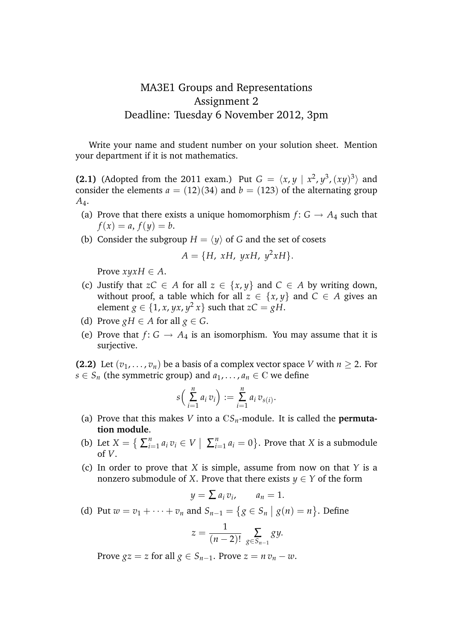## MA3E1 Groups and Representations Assignment 2 Deadline: Tuesday 6 November 2012, 3pm

Write your name and student number on your solution sheet. Mention your department if it is not mathematics.

**(2.1)** (Adopted from the 2011 exam.) Put  $G = \langle x, y | x^2, y^3, (xy)^3 \rangle$  and consider the elements  $a = (12)(34)$  and  $b = (123)$  of the alternating group *A*4.

- (a) Prove that there exists a unique homomorphism  $f: G \rightarrow A_4$  such that  $f(x) = a, f(y) = b.$
- (b) Consider the subgroup  $H = \langle y \rangle$  of *G* and the set of cosets

$$
A = \{H, xH, yxH, y^2xH\}.
$$

Prove  $xyxH \in A$ .

- (c) Justify that  $zC \in A$  for all  $z \in \{x, y\}$  and  $C \in A$  by writing down, without proof, a table which for all  $z \in \{x, y\}$  and  $C \in A$  gives an element  $g \in \{1, x, yx, y^2x\}$  such that  $zC = gH$ .
- (d) Prove  $gH \in A$  for all  $g \in G$ .
- (e) Prove that  $f: G \to A_4$  is an isomorphism. You may assume that it is surjective.

**(2.2)** Let  $(v_1, \ldots, v_n)$  be a basis of a complex vector space *V* with  $n > 2$ . For *s*  $\in$  *S<sub>n</sub>* (the symmetric group) and  $a_1$ , ...,  $a_n \in \mathbb{C}$  we define

$$
s\left(\sum_{i=1}^n a_i v_i\right) := \sum_{i=1}^n a_i v_{s(i)}.
$$

- (a) Prove that this makes *V* into a  $\mathbb{C}S_n$ -module. It is called the **permutation module**.
- (b) Let  $X = \{ \sum_{i=1}^{n} x_i \}$  $\sum_{i=1}^n a_i v_i \in V \mid \sum_{i=1}^n$  $\binom{n}{i=1}$   $a_i = 0$  }. Prove that *X* is a submodule of *V*.
- (c) In order to prove that *X* is simple, assume from now on that *Y* is a nonzero submodule of *X*. Prove that there exists  $y \in Y$  of the form

$$
y = \sum a_i v_i, \qquad a_n = 1.
$$

(d) Put  $w = v_1 + \cdots + v_n$  and  $S_{n-1} = \{ g \in S_n \mid g(n) = n \}.$  Define

$$
z = \frac{1}{(n-2)!} \sum_{g \in S_{n-1}} gy.
$$

Prove  $gz = z$  for all  $g \in S_{n-1}$ . Prove  $z = n v_n - w$ .